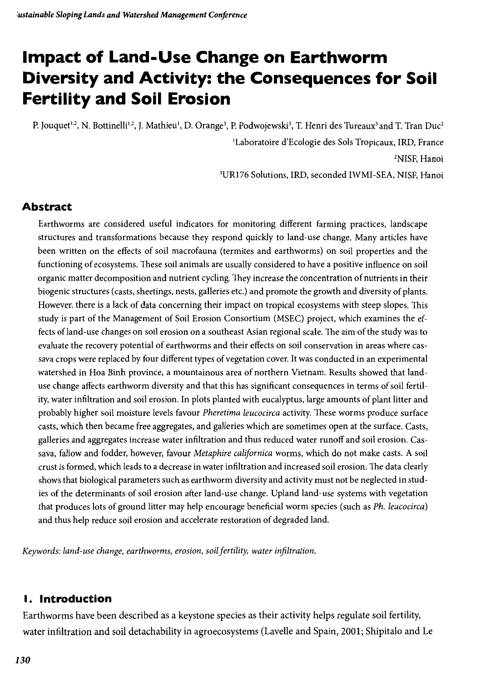## **Impact of Land-Use Change on Earthworm Diversity and Activity: the Consequences for Soil** Fertility and **Soil Erosion**

P. Jouquet<sup>1,2</sup>, N. Bottinelli<sup>1,2</sup>, J. Mathieu<sup>1</sup>, D. Orange<sup>3</sup>, P. Podwojewski<sup>3</sup>, T. Henri des Tureaux<sup>3</sup> and T. Tran Duc<sup>2</sup> lLaboratoire d'Ecologie des Sols Tropicaux, IRD, France 2NISF, Hanoi

3UR176 Solutions, IRD, seconded IWMI-SEA, NISF, Hanoi

## **Abstract**

Earthworms are considered useful indicators for monitoring different farming practices, landscape structures and transformations because they respond quickly to land-use change. Many articles have been written on the effects of soil macrofauna (termites and earthworms) on soil properties and the functioning of ecosystems. These soil animals are usually considered to have a positive influence on soil organic matter decomposition and nutrient cycling. They increase the concentration of nutrients in their biogenic structures (casts, sheetings, nests, galleries etc.) and promote the growth and diversity ofplants. However, there is a lack of data concerning their impact on tropical ecosystems with steep slopes. This study is part of the Management of Soil Erosion Consortium (MSEC) project, which examines the effects ofland-use changes on soil erosion on a southeast Asian regional scale. The aim ofthe study was to evaluate the recovery potential of earthworms and their effects on soil conservation in areas where cassava crops were replaced by four different types of vegetation cover. It was conducted in an experimental watershed in Hoa Binh province, a mountainous area of northern Vietnam. Results showed that landuse change affects earthworm diversity and that this has significant consequences in terms of soil fertility, water infiltration and soil erosion. In plots planted with eucalyptus, large amounts of plant litter and probably higher soil moisture levels favour *Pheretima leucocirca* activity. These worms produce surface casts, which then became free aggregates, and galleries which are sometimes open at the surface. Casts, galleries and aggregates increase water infiltration and thus reduced water runoff and soil erosion. Cassava, fallow and fodder, however, favour *Metaphire californica* worms, which do not make casts. A soil crust is formed, which leads to a decrease in water infiltration and increased soil erosion. The data clearly shows that biological parameters such as earthworm diversity and activity must not be neglected in studies of the determinants of soil erosion after land-use change. Upland land-use systems with vegetation that produces lots of ground litter may help encourage beneficial worm species (such as *Ph. leucocirca)* and thus help reduce soil erosion and accelerate restoration of degraded land.

*Keywords: land-use change, earthworms, erosion, soil fertility, water infiltration.*

## **I. Introduction**

Earthworms have been described as a keystone species as their activity helps regulate soil fertility, water infiltration and soil detachability in agroecosystems (Lavelle and Spain, 2001; Shipitalo and Le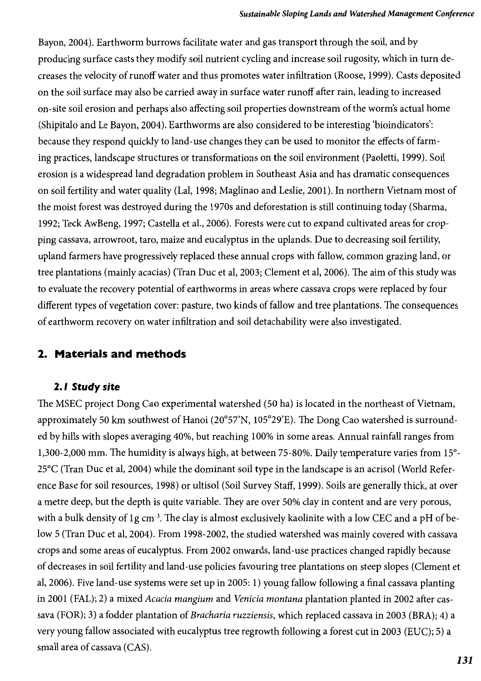Bayon, 2004). Earthworm burrows facilitate water and gas transport through the soil, and by producing surface casts they modify soil nutrient cycling and increase soil rugosity, which in turn decreases the velocity of runoff water and thus promotes water infiltration (Roose, 1999). Casts deposited on the soil surface may also be carried away in surface water runoff after rain, leading to increased on-site soil erosion and perhaps also affecting soil properties downstream of the worm's actual home (Shipitalo and Le Bayon, 2004). Earthworms are also considered to be interesting 'bioindicators': because they respond quickly to land-use changes they can be used to monitor the effects offarming practices, landscape structures or transformations on the soil environment (Paoletti, 1999). Soil erosion is a widespread land degradation problem in Southeast Asia and has dramatic consequences on soil fertility and water quality (Lal, 1998; Maglinao and Leslie, 2001). In northern Vietnam most of the moist forest was destroyed during the 1970s and deforestation is still continuing today (Sharma, 1992; Teck AwBeng, 1997; Castella et al., 2006). Forests were cut to expand cultivated areas for cropping cassava, arrowroot, taro, maize and eucalyptus in the uplands. Due to decreasing soil fertility, upland farmers have progressively replaced these annual crops with fallow, common grazing land, or tree plantations (mainly acacias) (Tran Duc et aI, 2003; Clement et al, 2006). The aim ofthis study was to evaluate the recovery potential of earthworms in areas where cassava crops were replaced by four different types of vegetation cover: pasture, two kinds offallow and tree plantations. The consequences of earthworm recovery on water infiltration and soil detachability were also investigated.

## **2. Materials and methods**

## **2.1 Study** *site*

The MSEC project Dong Cao experimental watershed (50 ha) is located in the northeast of Vietnam, approximately 50 km southwest of Hanoi (20°57'N, 105°29'E). The Dong Cao watershed is surrounded by hills with slopes averaging 40%, but reaching 100% in some areas. Annual rainfall ranges from 1,300-2,000 mm. The humidity is always high, at between 75-80%. Daily temperature varies from 15°- 25°C (Tran Duc et aI, 2004) while the dominant soil type in the landscape is an acrisol (World Reference Base for soil resources, 1998) or ultisol (Soil Survey Staff, 1999). Soils are generally thick, at over a metre deep, but the depth is quite variable. They are over 50% clay in content and are very porous, with a bulk density of 1g cm<sup>-3</sup>. The clay is almost exclusively kaolinite with a low CEC and a pH of below 5 (Tran Duc et aI, 2004). From 1998-2002, the studied watershed was mainly covered with cassava crops and some areas of eucalyptus. From 2002 onwards, land-use practices changed rapidly because of decreases in soil fertility and land-use policies favouring tree plantations on steep slopes (Clement et aI, 2006). Five land-use systems were set up in 2005: 1) young fallow following a final cassava planting in 2001 (FAL); 2) a mixed *Acacia mangium* and *Venicia montana* plantation planted in 2002 after cassava (FOR); 3) a fodder plantation of *Bracharia ruzziensis,* which replaced cassava in 2003 (BRA); 4) a very young fallow associated with eucalyptus tree regrowth following a forest cut in 2003 (EUC); 5) a small area of cassava (CAS).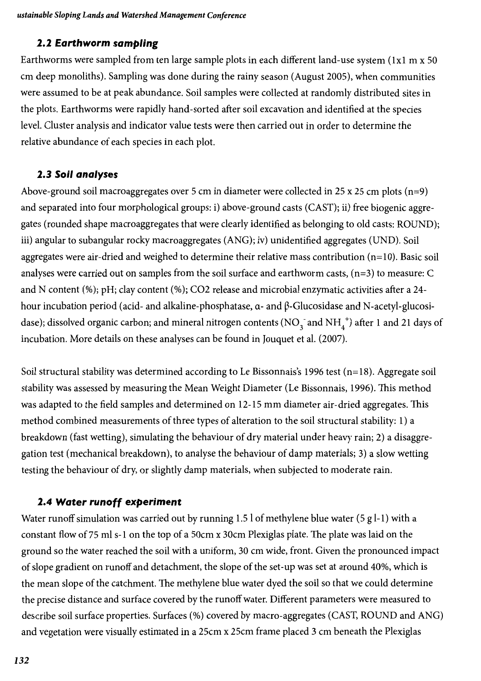#### **2.2 Earthworm sampling**

Earthworms were sampled from ten large sample plots in each different land-use system (Ixl m x 50 cm deep monoliths). Sampling was done during the rainy season (August 2005), when communities were assumed to be at peak abundance. Soil samples were collected at randomly distributed sites in the plots. Earthworms were rapidly hand-sorted after soil excavation and identified at the species level. Cluster analysis and indicator value tests were then carried out in order to determine the relative abundance of each species in each plot.

#### **2.3 Soil analyses**

Above-ground soil macroaggregates over 5 cm in diameter were collected in 25 x 25 cm plots (n=9) and separated into four morphological groups: i) above-ground casts (CAST); ii) free biogenic aggregates (rounded shape macroaggregates that were clearly identified as belonging to old casts: ROUND); iii) angular to subangular rocky macroaggregates (ANG); iv) unidentified aggregates (UND). Soil aggregates were air-dried and weighed to determine their relative mass contribution (n=10). Basic soil analyses were carried out on samples from the soil surface and earthworm casts, (n=3) to measure: C and N content (%); pH; clay content (%); C02 release and microbial enzymatic activities after a 24 hour incubation period (acid- and alkaline-phosphatase,  $\alpha$ - and  $\beta$ -Glucosidase and N-acetyl-glucosidase); dissolved organic carbon; and mineral nitrogen contents (NO<sub>3</sub> and NH<sub>4</sub><sup>+</sup>) after 1 and 21 days of incubation. More details on these analyses can be found in Jouquet et al. (2007).

Soil structural stability was determined according to Le Bissonnais's 1996 test  $(n=18)$ . Aggregate soil stability was assessed by measuring the Mean Weight Diameter (Le Bissonnais, 1996). This method was adapted to the field samples and determined on 12-15 mm diameter air-dried aggregates. This method combined measurements of three types of alteration to the soil structural stability: 1) a breakdown (fast wetting), simulating the behaviour of dry material under heavy rain; 2) a disaggregation test (mechanical breakdown), to analyse the behaviour of damp materials; 3) a slow wetting testing the behaviour of dry, or slightly damp materials, when subjected to moderate rain.

## **2.4 Water runoff experiment**

Water runoff simulation was carried out by running 1.5 l of methylene blue water (5 g l-1) with a constant flow of75 ml s-1 on the top of a 50cm x 30cm Plexiglas plate. The plate was laid on the ground so the water reached the soil with a uniform, 30 cm wide, front. Given the pronounced impact of slope gradient on runoff and detachment, the slope of the set-up was set at around 40%, which is the mean slope of the catchment. The methylene blue water dyed the soil so that we could determine the precise distance and surface covered by the runoffwater. Different parameters were measured to describe soil surface properties. Surfaces (%) covered by macro-aggregates (CAST, ROUND and ANG) and vegetation were visually estimated in a 25cm x 25cm frame placed 3 cm beneath the Plexiglas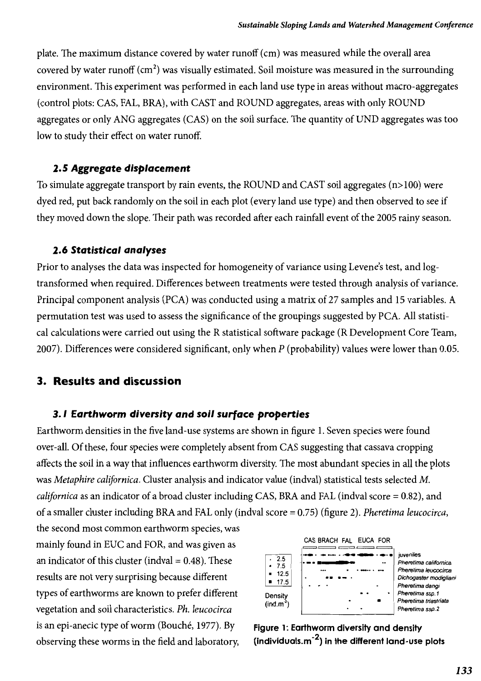plate. The maximum distance covered by water runoff (cm) was measured while the overall area covered by water runoff  $(cm<sup>2</sup>)$  was visually estimated. Soil moisture was measured in the surrounding environment. This experiment was performed in each land use type in areas without macro-aggregates (control plots: CAS, FAL, BRA), with CAST and ROUND aggregates, areas with only ROUND aggregates or only ANG aggregates (CAS) on the soil surface. The quantity of UND aggregates was too low to study their effect on water runoff.

#### **2.5 Aggregate** *displacement*

To simulate aggregate transport by rain events, the ROUND and CAST soil aggregates (n>100) were dyed red, put back randomly on the soil in each plot (every land use type) and then observed to see if they moved down the slope. Their path was recorded after each rainfall event of the 2005 rainy season.

#### *2.6 Statistical analyses*

Prior to analyses the data was inspected for homogeneity of variance using Levene's test, and logtransformed when required. Differences between treatments were tested through analysis of variance. Principal component analysis (PCA) was conducted using a matrix of 27 samples and 15 variables. A permutation test was used to assess the significance of the groupings suggested by PCA. All statistical calculations were carried out using the R statistical software package (R Development Core Team, 2007). Differences were considered significant, only when P (probability) values were lower than 0.05.

#### **3. Results and discussion**

#### *3.1 Earthworm diversity and soil* **surface** *properties*

Earthworm densities in the five land-use systems are shown in figure 1. Seven species were found over-all. Ofthese, four species were completely absent from CAS suggesting that cassava cropping affects the soil in a way that influences earthworm diversity. The most abundant species in all the plots was *Metaphire californica.* Cluster analysis and indicator value (indval) statistical tests selected M. *californica* as an indicator of a broad cluster including CAS, BRA and FAL (indval score = 0.82), and of a smaller cluster including BRA and FAL only (indval score =0.75) (figure 2). *Pheretima leucocirca,*

the second most common earthworm species, was mainly found in EUC and FOR, and was given as an indicator of this cluster (indval  $=0.48$ ). These results are not very surprising because different types of earthworms are known to prefer different vegetation and soil characteristics. *Ph. leucocirca* is an epi-anecic type of worm (Bouché, 1977). By observing these worms in the field and laboratory,



**Figure 1: Earthworm diversity and density (individuals.m**-2) **in the different land-use plots**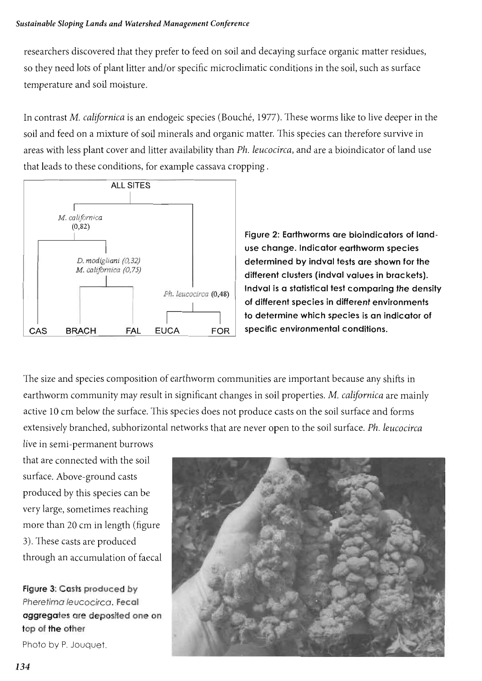#### *Sustainable Sloping Lands and Watershed Management Conference*

researchers discovered that they prefer to feed on soil and decaying surface organic matter residues, so they need lots of plant litter and/or specific microclimatic conditions in the soil, such as surface temperature and soil moisture.

In contrast *M. californica* is an endogeic species (Bouché, 1977). These worms like to live deeper in the soil and feed on a mixture ofsoil minerals and organic matter. This species can therefore survive in areas with less plant cover and litter availability than *Ph. leucocirca,* and are a bioindicator of land use that leads to these conditions, for example cassava cropping . (Bouché, 197<br>rganic matte<br>han *Ph. leuc*<br>va cropping .



Figure 2: Earthworms are bioindicators of landuse change. Indicator earthworm species determined by indval tests are shown for the different clusters (indval values in brackets). Indval is a statistical test comparing the density of different species in different environments The determine which species is an indicator of<br>CA FOR specific environmental conditions. specifie environmental conditions.

The size and species composition of earthworm communities are important because any shifts in earthworm community may result in significant changes in soil properties. *M. californica* are mainly active 10 cm below the surface. This species does not produce casts on the soil surface and forms extensively branched, subhorizontal networks that are never open to the soil surface. *Ph. leucocirca*

live in semi-permanent burrows that are connected with the soil surface. Above-ground casts produced by this species can be very large, sometimes reaching more than 20 cm in length (figure 3). These casts are produced through an accumulation of faecal

Figure 3: Casts produced by Pheretimo leucocirco. Fecal aggregates are deposited one on top of the other

Photo by P. Jouquet

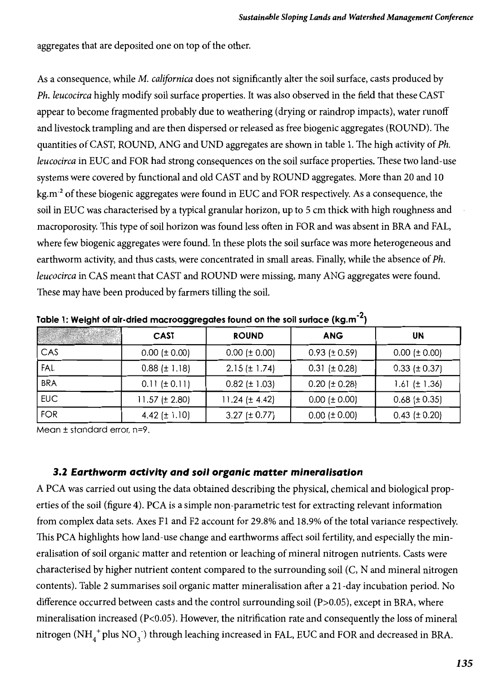aggregates that are deposited one on top of the other.

As a consequence, while M. *californica* does not significantly alter the soil surface, casts produced by *Ph. leucocirca* highly modify soil surface properties. It was also observed in the field that these CAST appear to become fragmented probably due to weathering (drying or raindrop impacts), water runoff and livestock trampling and are then dispersed or released as free biogenic aggregates (ROUND). The quantities ofCAST, ROUND, ANG and UND aggregates are shown in table 1. The high activity of*Ph. leucocirca* in EUC and FOR had strong consequences on the soil surface properties. These two land-use systems were covered by functional and old CAST and by ROUND aggregates. More than 20 and 10 kg.m<sup>-2</sup> of these biogenic aggregates were found in EUC and FOR respectively. As a consequence, the soil in EUC was characterised by a typical granular horizon, up to 5 cm thick with high roughness and macroporosity. This type of soil horizon was found less often in FOR and was absent in BRA and FAL, where few biogenic aggregates were found. In these plots the soil surface was more heterogeneous and earthworm activity, and thus casts, were concentrated in small areas. Finally, while the absence of*Ph. leucocirca* in CAS meant that CAST and ROUND were missing, many ANG aggregates were found. These may have been produced by farmers tilling the soil.

|            | <b>CAST</b>          | <b>ROUND</b>         | <b>ANG</b>           | <b>UN</b>            |
|------------|----------------------|----------------------|----------------------|----------------------|
| CAS        | $0.00$ ( $\pm$ 0.00) | $0.00$ ( $\pm$ 0.00) | $0.93$ ( $\pm$ 0.59) | $0.00$ ( $\pm$ 0.00) |
| FAL        | $0.88$ ( $\pm$ 1.18) | $2.15 (\pm 1.74)$    | $0.31 (\pm 0.28)$    | $0.33$ ( $\pm$ 0.37) |
| <b>BRA</b> | $0.11 (\pm 0.11)$    | $0.82$ ( $\pm$ 1.03) | $0.20$ ( $\pm$ 0.28) | $1.61 (\pm 1.36)$    |
| <b>EUC</b> | $11.57 (\pm 2.80)$   | 11.24 ( $\pm$ 4.42)  | $0.00$ ( $\pm$ 0.00) | $0.68$ ( $\pm$ 0.35) |
| <b>FOR</b> | 4.42 $(\pm 1.10)$    | 3.27 ( $\pm$ 0.77)   | $0.00$ ( $\pm$ 0.00) | $0.43$ ( $\pm$ 0.20) |

Table 1: Weight of air-dried macroaggregates found on the soil surface (kg.m<sup>-2</sup>)

Mean ± standard error, n=9.

#### *3.2 Earthworm activity and soil organic matter mineralisation*

A PCA was carried out using the data obtained describing the physical, chemical and biological properties of the soil (figure 4). PCA is a simple non-parametric test for extracting relevant information from complex data sets. Axes F1 and F2 account for 29.8% and 18.9% of the total variance respectively. This PCA highlights how land-use change and earthworms affect soil fertility, and especially the mineralisation of soil organic matter and retention or leaching of mineral nitrogen nutrients. Casts were characterised by higher nutrient content compared to the surrounding soil (C, N and mineral nitrogen contents). Table 2 summarises soil organic matter mineralisation after a 21-day incubation period. No difference occurred between casts and the control surrounding soil (P>0.05), except in BRA, where mineralisation increased (P<0.05). However, the nitrification rate and consequently the loss of mineral nitrogen (NH<sub>4</sub><sup>+</sup> plus NO<sub>3</sub><sup>-</sup>) through leaching increased in FAL, EUC and FOR and decreased in BRA.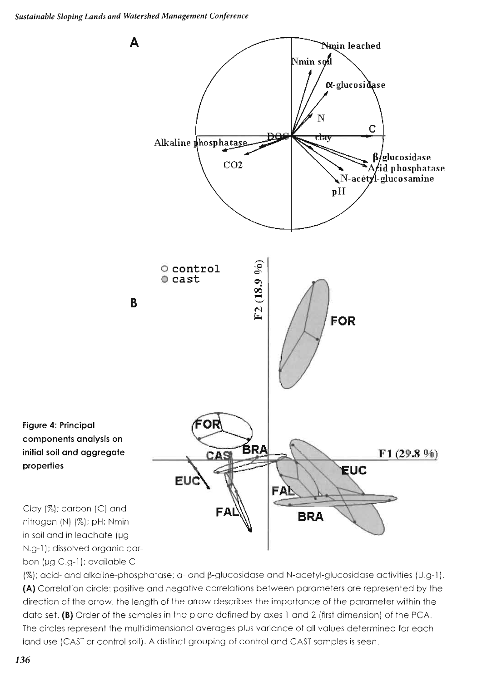

(%); acid- and alkaline-phosphatase; a- and β-glucosidase and N-acetyl-glucosidase activities (U.g-1). **(A)** Correlation circle: positive and negative correlations between parameters are represented by the direction of the arrow, the length of the arrow describes the importance of the parameter within the data set. **(8)** Order of the samples in the plane defined by axes 1 and 2 (first dimension) of the PCA. **(B)**The circles represent the multidimensional averages plus variance of all values determined for each land use (CAST or control soil). A distinct grouping of control and CAST samples is seen.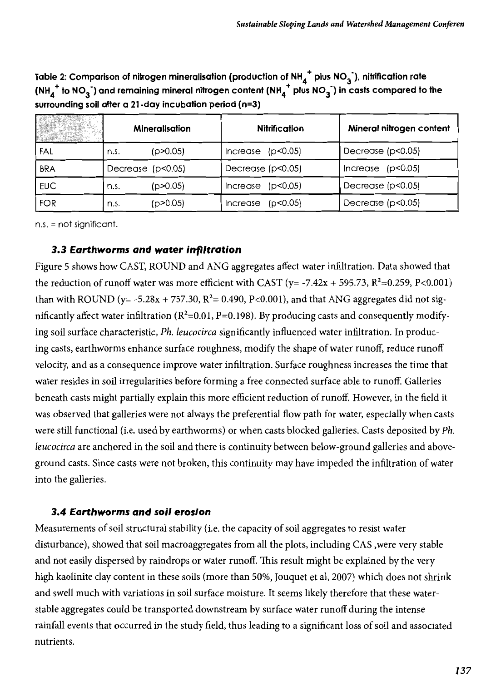Table 2: Comparison of nitrogen mineralisation (production of NH $_4^{\texttt{T}}$  plus NO $_3^{\texttt{T}}$ ), nitrification rate (NH<sub>4</sub><sup>+</sup> to NO<sub>3</sub> ) and remaining mineral nitrogen content (NH<sub>4</sub><sup>+</sup> plus NO<sub>3</sub> ) in casts compared to the surrounding soil after a 21-day incubation period (n=3)

|            |                     | <b>Mineralisation</b> | <b>Nitrification</b> | Mineral nitrogen content |
|------------|---------------------|-----------------------|----------------------|--------------------------|
| FAL        | n.s.                | (p>0.05)              | Increase (p<0.05)    | Decrease $(p<0.05)$      |
| <b>BRA</b> | Decrease $(p<0.05)$ |                       | Decrease (p<0.05)    | Increase $(p<0.05)$      |
| <b>EUC</b> | n.s.                | (p > 0.05)            | (p<0.05)<br>Increase | Decrease $(p<0.05)$      |
| <b>FOR</b> | n.s.                | (p>0.05)              | (p<0.05)<br>Increase | Decrease $(p<0.05)$      |

 $n.s. = not significant.$ 

#### 3.3 Earthworms *and water infi'tration*

Figure 5 shows how CAST, ROUND and ANG aggregates affect water infiltration. Data showed that the reduction of runoff water was more efficient with CAST (y= -7.42x + 595.73,  $R^2$ =0.259, P<0.001) than with ROUND ( $y = -5.28x + 757.30$ ,  $R^2 = 0.490$ , P<0.001), and that ANG aggregates did not significantly affect water infiltration ( $R^2$ =0.01, P=0.198). By producing casts and consequently modifying soil surface characteristic, *Ph. leucocirca* significantly influenced water infiltration. In producing casts, earthworms enhance surface roughness, modify the shape of water runoff, reduce runoff velocity, and as a consequence improve water infiltration. Surface roughness increases the time that water resides in soil irregularities before forming a free connected surface able to runoff. Galleries beneath casts might partially explain this more efficient reduction of runoff. However, in the field it was observed that galleries were not always the preferential flow path for water, especially when casts were still functional (Le. used by earthworms) or when casts blocked galleries. Casts deposited by *Ph. leucocirca* are anchored in the soil and there is continuity between below-ground galleries and aboveground casts. Since casts were not broken, this continuity may have impeded the infiltration of water into the galleries.

#### 3.4 Earthworms *and soil erosion*

Measurements of soil structural stability (i.e. the capacity of soil aggregates to resist water disturbance), showed that soil macroaggregates from all the plots, including CAS ,were very stable and not easily dispersed by raindrops or water runoff. This result might be explained by the very high kaolinite clay content in these soils (more than 50%, Jouquet et al, 2007) which does not shrink and swell much with variations in soil surface moisture. It seems likely therefore that these waterstable aggregates could be transported downstream by surface water runoff during the intense rainfall events that occurred in the study field, thus leading to a significant loss ofsoil and associated nutrients.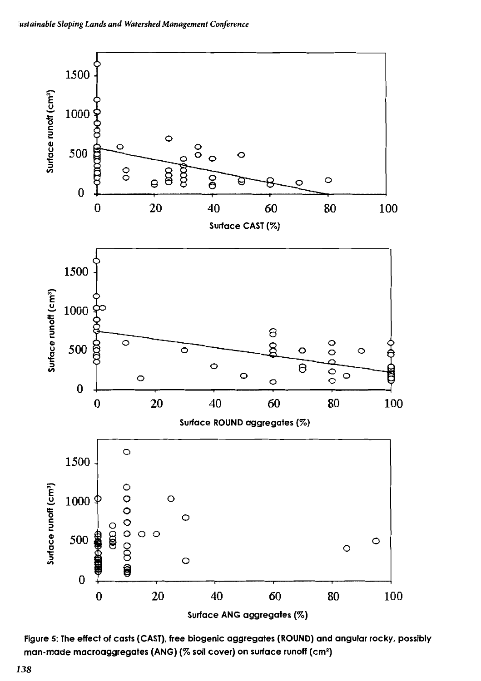

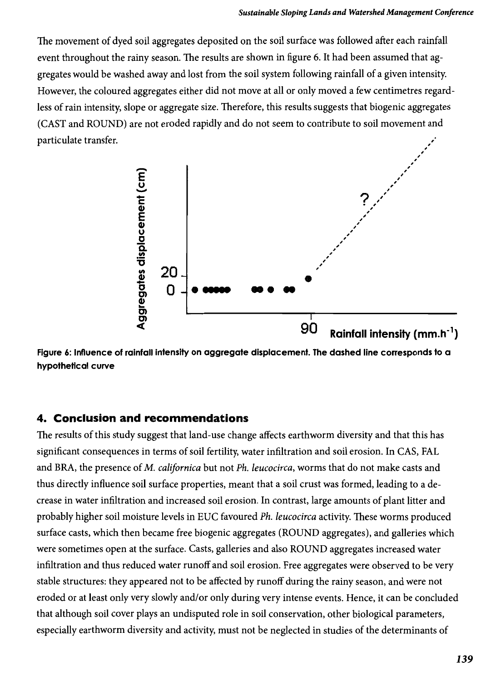The movement of dyed soil aggregates deposited on the soil surface was followed after each rainfall event throughout the rainy season. The results are shown in figure 6. It had been assumed that aggregates would be washed away and lost from the soil system following rainfall of a given intensity. However, the coloured aggregates either did not move at all or only moved a few centimetres regardless of rain intensity, slope or aggregate size. Therefore, this results suggests that biogenic aggregates (CAST and ROUND) are not eroded rapidly and do not seem to contribute to soil movement and particulate transfer. ,



**Figure 6: Influence of rainfall intensity on aggregate displacement. The dashed line corresponds to a hypothetical curve**

## **4. Conclusion and recommendations**

The results of this study suggest that land-use change affects earthworm diversity and that this has significant consequences in terms ofsoil fertility, water infiltration and soil erosion. In CAS, FAL and BRA, the presence ofM. *californica* but not *Ph. leucocirca,* worms that do not make casts and thus directly influence soil surface properties, meant that a soil crust was formed, leading to a decrease in water infiltration and increased soil erosion. In contrast, large amounts of plant litter and probably higher soil moisture levels in EUC favoured *Ph. leucocirca* activity. These worms produced surface casts, which then became free biogenic aggregates (ROUND aggregates), and galleries which were sometimes open at the surface. Casts, galleries and also ROUND aggregates increased water infiltration and thus reduced water runoff and soil erosion. Free aggregates were observed to be very stable structures: they appeared not to be affected by runoff during the rainy season, and were not eroded or at least only very slowly and/or only during very intense events. Hence, it can be concluded that although soil cover plays an undisputed role in soil conservation, other biological parameters, especially earthworm diversity and activity, must not be neglected in studies of the determinants of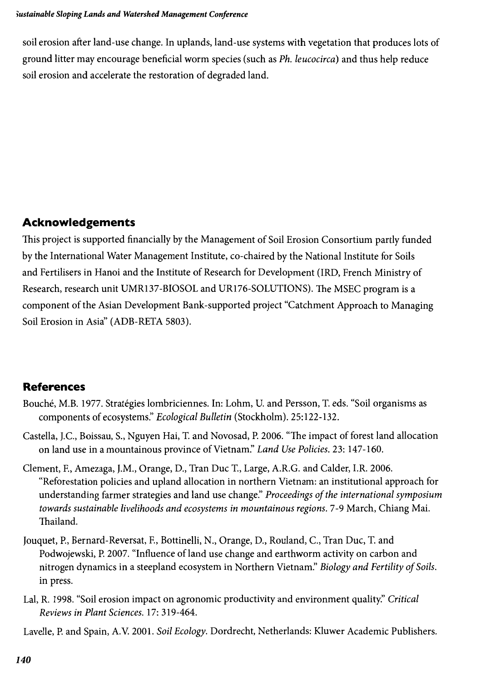soil erosion after land-use change. In uplands, land-use systems with vegetation that produces lots of ground litter may encourage beneficial worm species (such as *Ph. leucocirca)* and thus help reduce soil erosion and accelerate the restoration of degraded land.

## **Acknowledgements**

This project is supported financially by the Management of Soil Erosion Consortium partly funded by the International Water Management Institute, co-chaired by the National Institute for Soils and Fertilisers in Hanoi and the Institute of Research for Development (IRD, French Ministry of Research, research unit UMR137-BIOSOL and UR176-S0LUTIONS). The MSEC program is a component ofthe Asian Development Bank-supported project "Catchment Approach to Managing Soil Erosion in Asia" (ADB-RETA 5803).

## **References**

- Bouche, M.B. 1977. Strategies lombriciennes. In: Lohm, U. and Persson, T. eds. "Soil organisms as components of ecosystems." *Ecological Bulletin* (Stockholm). 25:122-132.
- Castella, J.c., Boissau, S., Nguyen Hai, T. and Novosad, P. 2006. "The impact of forest land allocation on land use in a mountainous province of Vietnam:' *Land Use Policies.* 23: 147-160.
- Clement, E, Amezaga, J.M., Orange, D., Tran Due T., Large, A.R.G. and Calder, LR. 2006. "Reforestation policies and upland allocation in northern Vietnam: an institutional approach for understanding farmer strategies and land use change:' *Proceedings ofthe international symposium towards sustainable livelihoods and ecosystems in mountainous regions.* 7-9 March, Chiang Mai. Thailand.
- Jouquet, P., Bernard-Reversat, E, Bottinelli, N., Orange, D., Rouland, c., Tran Due, T. and Podwojewski, P. 2007. "Influence of land use change and earthworm activity on carbon and nitrogen dynamics in a steepland ecosystem in Northern Vietnam." Biology and Fertility of Soils. in press.
- Lal, R. 1998. "Soil erosion impact on agronomic productivity and environment quality:' *Critical Reviews in Plant Sciences.* 17: 319-464.

Lavelle, P. and Spain, A.Y. 2001. *Soil Ecology.* Dordrecht, Netherlands: Kluwer Academic Publishers.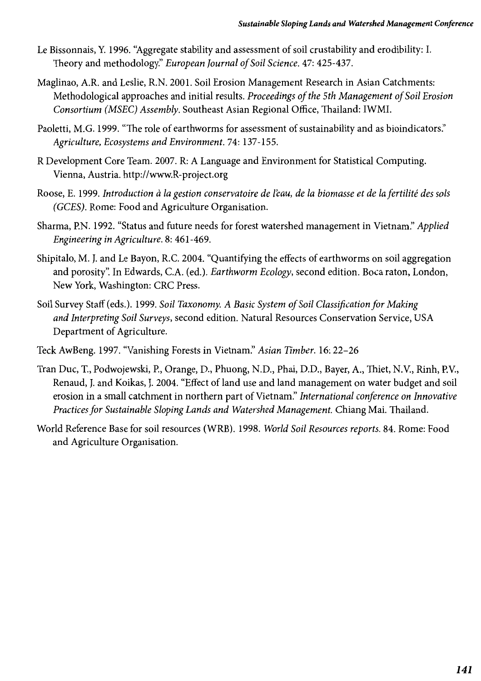- Le Bissonnais, Y. 1996. "Aggregate stability and assessment of soil crustability and erodibility: I. Theory and methodology:' *European Journal ofSoil Science.* 47: 425-437.
- Maglinao, A.R. and Leslie, R.N. 2001. Soil Erosion Management Research in Asian Catchments: Methodological approaches and initial results. *Proceedings of the 5th Management ofSoil Erosion Consortium (MSEC) Assembly.* Southeast Asian Regional Office, Thailand: IWMI.
- Paoletti, M.G. 1999. "The role of earthworms for assessment of sustainability and as bioindicators." *Agriculture, Ecosystems and Environment.* 74: 137-155.
- R Development Core Team. 2007. R: A Language and Environment for Statistical Computing. Vienna, Austria. http://www.R-project.org
- Roose, E. 1999. *Introduction* cl *la gestion conservatoire de l'eau, de la biomasse et de la fertilite des sols (GCES).* Rome: Food and Agriculture Organisation.
- Sharma, EN. 1992. "Status and future needs for forest watershed management in Vietnam:' *Applied Engineering in Agriculture.* 8: 461-469.
- Shipitalo, M. J. and Le Bayon, R.C. 2004. "Quantifying the effects of earthworms on soil aggregation and porosity". In Edwards, C.A. (ed.). *Earthworm Ecology*, second edition. Boca raton, London, New York, Washington: CRC Press.
- Soil Survey Staff (eds.). 1999. *Soil Taxonomy. A Basic System ofSoil Classification for Making and Interpreting Soil Surveys,* second edition. Natural Resources Conservation Service, USA Department of Agriculture.
- Teck AwBeng. 1997. "Vanishing Forests in Vietnam:' *Asian Timber.* 16: 22-26
- Tran Due, T., Podwojewski, P., Orange, D., Phuong, N.D., Phai, D.D., Bayer, A., Thiet, N.V., Rinh, EV., Renaud, J. and Koikas, J. 2004. "Effect ofland use and land management on water budget and soil erosion in a small catchment in northern part of Vietnam:' *International conference on Innovative Practices for Sustainable Sloping Lands and Watershed Management. Chiang Mai. Thailand.*
- World Reference Base for soil resources (WRB). 1998. *World Soil Resources reports.* 84. Rome: Food and Agriculture Organisation.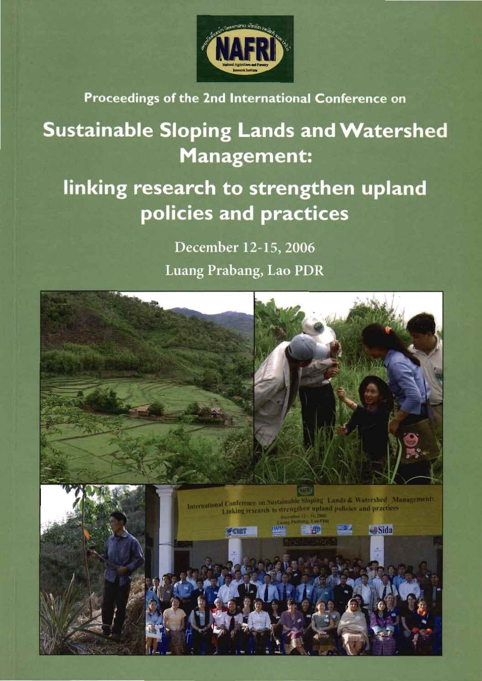

Proceedings of the 2nd International Conference on

# **Sustainable Sloping Lands and Watershed** Management:

## linking research to strengthen upland policies and practices

December 12-15, 2006 Luang Prabang, Lao PDR